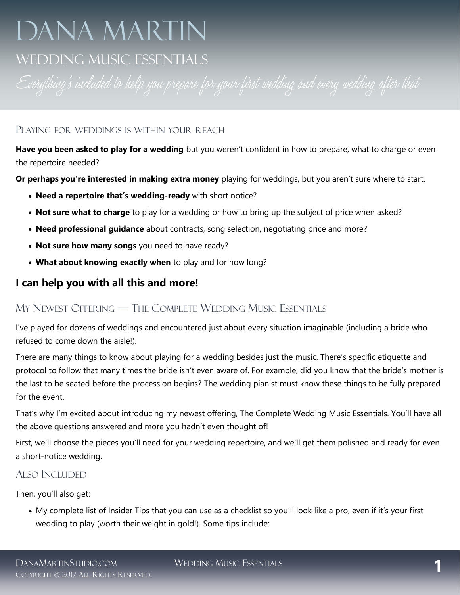# DANA MARTIN

# WEDDING MUSIC ESSENTIALS

#### PLAYING FOR WEDDINGS IS WITHIN YOUR REACH

**Have you been asked to play for a wedding** but you weren't confident in how to prepare, what to charge or even the repertoire needed?

**Or perhaps you're interested in making extra money** playing for weddings, but you aren't sure where to start.

- **Need a repertoire that's wedding-ready** with short notice?
- **Not sure what to charge** to play for a wedding or how to bring up the subject of price when asked?
- **Need professional guidance** about contracts, song selection, negotiating price and more?
- **Not sure how many songs** you need to have ready?
- **What about knowing exactly when** to play and for how long?

## **I can help you with all this and more!**

## MY NEWEST OFFERING — THE COMPLETE WEDDING MUSIC ESSENTIALS

I've played for dozens of weddings and encountered just about every situation imaginable (including a bride who refused to come down the aisle!).

There are many things to know about playing for a wedding besides just the music. There's specific etiquette and protocol to follow that many times the bride isn't even aware of. For example, did you know that the bride's mother is the last to be seated before the procession begins? The wedding pianist must know these things to be fully prepared for the event.

That's why I'm excited about introducing my newest offering, The Complete Wedding Music Essentials. You'll have all the above questions answered and more you hadn't even thought of!

First, we'll choose the pieces you'll need for your wedding repertoire, and we'll get them polished and ready for even a short-notice wedding.

#### ALSO INCLUDED

Then, you'll also get:

• My complete list of Insider Tips that you can use as a checklist so you'll look like a pro, even if it's your first wedding to play (worth their weight in gold!). Some tips include: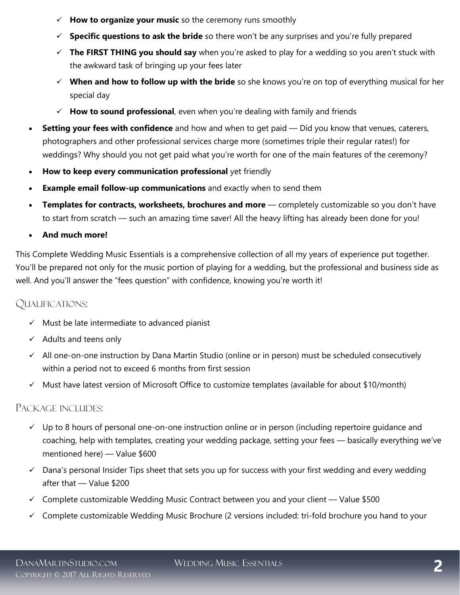- ✓ **How to organize your music** so the ceremony runs smoothly
- ✓ **Specific questions to ask the bride** so there won't be any surprises and you're fully prepared
- ✓ **The FIRST THING you should say** when you're asked to play for a wedding so you aren't stuck with the awkward task of bringing up your fees later
- ✓ **When and how to follow up with the bride** so she knows you're on top of everything musical for her special day
- ✓ **How to sound professional**, even when you're dealing with family and friends
- **Setting your fees with confidence** and how and when to get paid Did you know that venues, caterers, photographers and other professional services charge more (sometimes triple their regular rates!) for weddings? Why should you not get paid what you're worth for one of the main features of the ceremony?
- **How to keep every communication professional** yet friendly
- **Example email follow-up communications** and exactly when to send them
- **Templates for contracts, worksheets, brochures and more** completely customizable so you don't have to start from scratch — such an amazing time saver! All the heavy lifting has already been done for you!
- **And much more!**

This Complete Wedding Music Essentials is a comprehensive collection of all my years of experience put together. You'll be prepared not only for the music portion of playing for a wedding, but the professional and business side as well. And you'll answer the "fees question" with confidence, knowing you're worth it!

#### QUALIFICATIONS:

- ✓ Must be late intermediate to advanced pianist
- $\checkmark$  Adults and teens only
- ✓ All one-on-one instruction by Dana Martin Studio (online or in person) must be scheduled consecutively within a period not to exceed 6 months from first session
- ✓ Must have latest version of Microsoft Office to customize templates (available for about \$10/month)

#### PACKAGE INCLUDES:

- ✓ Up to 8 hours of personal one-on-one instruction online or in person (including repertoire guidance and coaching, help with templates, creating your wedding package, setting your fees — basically everything we've mentioned here) — Value \$600
- $\checkmark$  Dana's personal Insider Tips sheet that sets you up for success with your first wedding and every wedding after that — Value \$200
- $\checkmark$  Complete customizable Wedding Music Contract between you and your client Value \$500
- ✓ Complete customizable Wedding Music Brochure (2 versions included: tri-fold brochure you hand to your